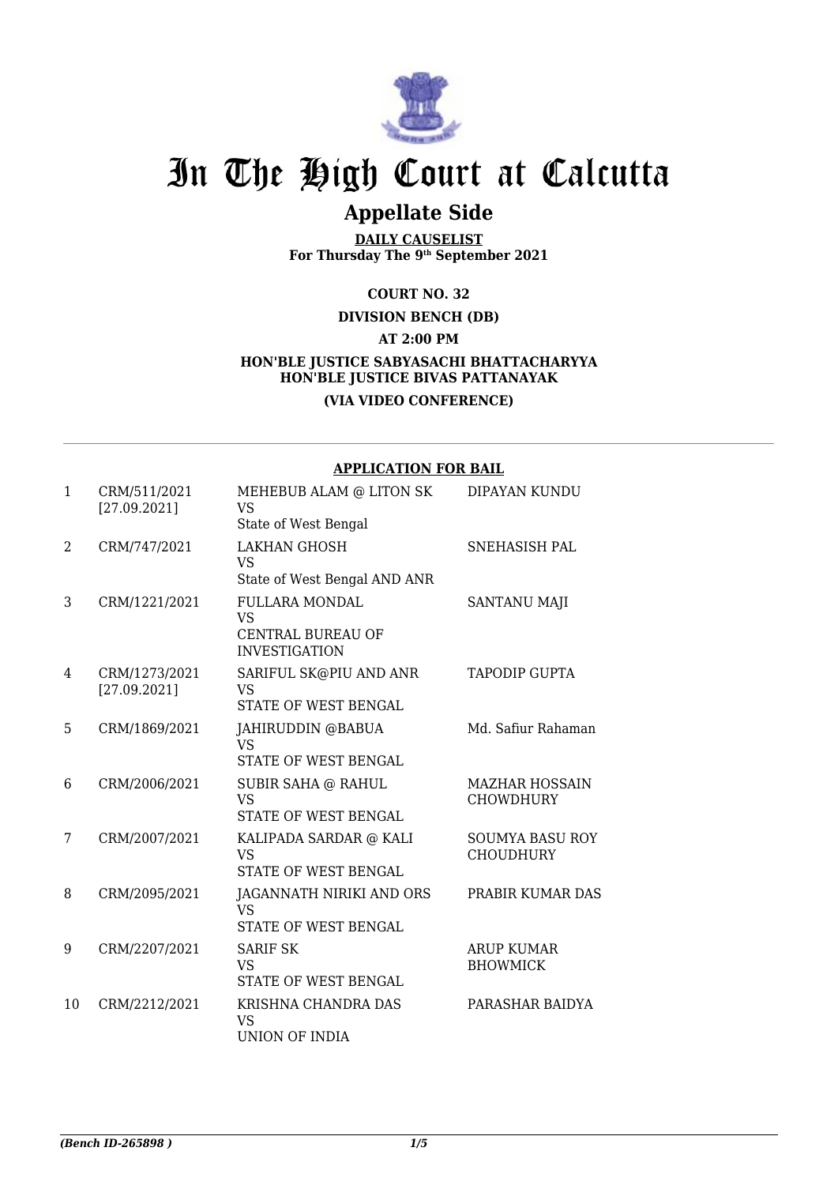

# In The High Court at Calcutta

## **Appellate Side**

**DAILY CAUSELIST For Thursday The 9th September 2021**

#### **COURT NO. 32**

**DIVISION BENCH (DB) AT 2:00 PM HON'BLE JUSTICE SABYASACHI BHATTACHARYYA HON'BLE JUSTICE BIVAS PATTANAYAK**

### **(VIA VIDEO CONFERENCE)**

#### **APPLICATION FOR BAIL**

| $\mathbf{1}$ | CRM/511/2021<br>[27.09.2021]  | MEHEBUB ALAM @ LITON SK<br>VS                                                     | DIPAYAN KUNDU                              |
|--------------|-------------------------------|-----------------------------------------------------------------------------------|--------------------------------------------|
| 2            | CRM/747/2021                  | State of West Bengal<br><b>LAKHAN GHOSH</b><br>VS<br>State of West Bengal AND ANR | SNEHASISH PAL                              |
| 3            | CRM/1221/2021                 | <b>FULLARA MONDAL</b><br>VS<br><b>CENTRAL BUREAU OF</b><br><b>INVESTIGATION</b>   | <b>SANTANU MAJI</b>                        |
| 4            | CRM/1273/2021<br>[27.09.2021] | SARIFUL SK@PIU AND ANR<br>VS<br>STATE OF WEST BENGAL                              | <b>TAPODIP GUPTA</b>                       |
| 5            | CRM/1869/2021                 | JAHIRUDDIN @BABUA<br><b>VS</b><br>STATE OF WEST BENGAL                            | Md. Safiur Rahaman                         |
| 6            | CRM/2006/2021                 | SUBIR SAHA @ RAHUL<br><b>VS</b><br>STATE OF WEST BENGAL                           | <b>MAZHAR HOSSAIN</b><br><b>CHOWDHURY</b>  |
| 7            | CRM/2007/2021                 | KALIPADA SARDAR @ KALI<br>VS<br>STATE OF WEST BENGAL                              | <b>SOUMYA BASU ROY</b><br><b>CHOUDHURY</b> |
| 8            | CRM/2095/2021                 | JAGANNATH NIRIKI AND ORS<br><b>VS</b><br><b>STATE OF WEST BENGAL</b>              | PRABIR KUMAR DAS                           |
| 9            | CRM/2207/2021                 | <b>SARIF SK</b><br><b>VS</b><br><b>STATE OF WEST BENGAL</b>                       | <b>ARUP KUMAR</b><br><b>BHOWMICK</b>       |
| 10           | CRM/2212/2021                 | KRISHNA CHANDRA DAS<br>VS<br>UNION OF INDIA                                       | PARASHAR BAIDYA                            |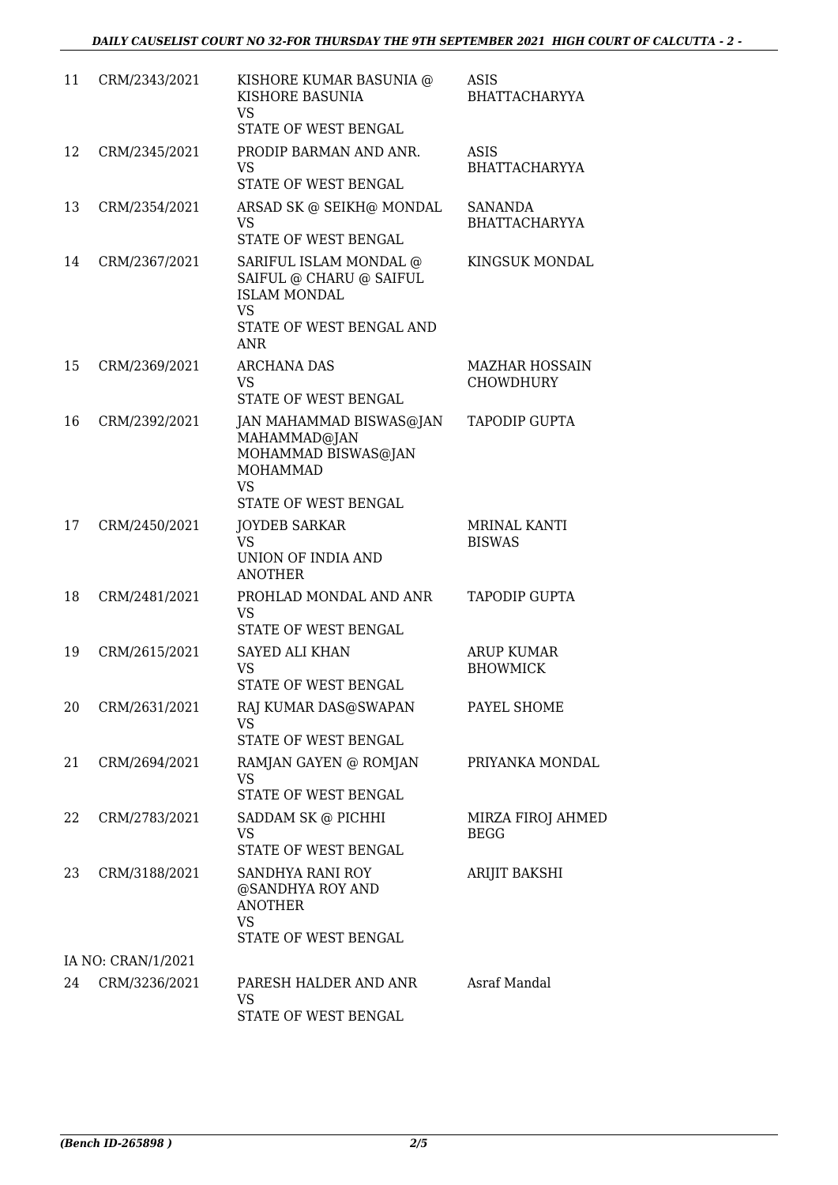| 11 | CRM/2343/2021      | KISHORE KUMAR BASUNIA @<br>KISHORE BASUNIA<br>VS.<br>STATE OF WEST BENGAL                                                       | ASIS<br>BHATTACHARYYA                     |
|----|--------------------|---------------------------------------------------------------------------------------------------------------------------------|-------------------------------------------|
| 12 | CRM/2345/2021      | PRODIP BARMAN AND ANR.<br>VS<br><b>STATE OF WEST BENGAL</b>                                                                     | <b>ASIS</b><br><b>BHATTACHARYYA</b>       |
| 13 | CRM/2354/2021      | ARSAD SK @ SEIKH@ MONDAL<br>VS.<br>STATE OF WEST BENGAL                                                                         | <b>SANANDA</b><br><b>BHATTACHARYYA</b>    |
| 14 | CRM/2367/2021      | SARIFUL ISLAM MONDAL @<br>SAIFUL @ CHARU @ SAIFUL<br><b>ISLAM MONDAL</b><br><b>VS</b><br>STATE OF WEST BENGAL AND<br><b>ANR</b> | KINGSUK MONDAL                            |
| 15 | CRM/2369/2021      | <b>ARCHANA DAS</b><br>VS.<br>STATE OF WEST BENGAL                                                                               | <b>MAZHAR HOSSAIN</b><br><b>CHOWDHURY</b> |
| 16 | CRM/2392/2021      | JAN MAHAMMAD BISWAS@JAN<br>MAHAMMAD@JAN<br>MOHAMMAD BISWAS@JAN<br><b>MOHAMMAD</b><br>VS.                                        | <b>TAPODIP GUPTA</b>                      |
| 17 | CRM/2450/2021      | STATE OF WEST BENGAL<br><b>JOYDEB SARKAR</b><br><b>VS</b><br>UNION OF INDIA AND<br><b>ANOTHER</b>                               | <b>MRINAL KANTI</b><br><b>BISWAS</b>      |
| 18 | CRM/2481/2021      | PROHLAD MONDAL AND ANR<br>VS.<br>STATE OF WEST BENGAL                                                                           | <b>TAPODIP GUPTA</b>                      |
| 19 | CRM/2615/2021      | <b>SAYED ALI KHAN</b><br>VS<br>STATE OF WEST BENGAL                                                                             | <b>ARUP KUMAR</b><br><b>BHOWMICK</b>      |
| 20 | CRM/2631/2021      | RAJ KUMAR DAS@SWAPAN<br>VS<br>STATE OF WEST BENGAL                                                                              | PAYEL SHOME                               |
| 21 | CRM/2694/2021      | RAMJAN GAYEN @ ROMJAN<br>VS.<br>STATE OF WEST BENGAL                                                                            | PRIYANKA MONDAL                           |
| 22 | CRM/2783/2021      | SADDAM SK @ PICHHI<br>VS<br>STATE OF WEST BENGAL                                                                                | MIRZA FIROJ AHMED<br><b>BEGG</b>          |
| 23 | CRM/3188/2021      | SANDHYA RANI ROY<br>@SANDHYA ROY AND<br><b>ANOTHER</b><br>VS                                                                    | ARIJIT BAKSHI                             |
|    | IA NO: CRAN/1/2021 | STATE OF WEST BENGAL                                                                                                            |                                           |
| 24 | CRM/3236/2021      | PARESH HALDER AND ANR<br>VS<br>STATE OF WEST BENGAL                                                                             | Asraf Mandal                              |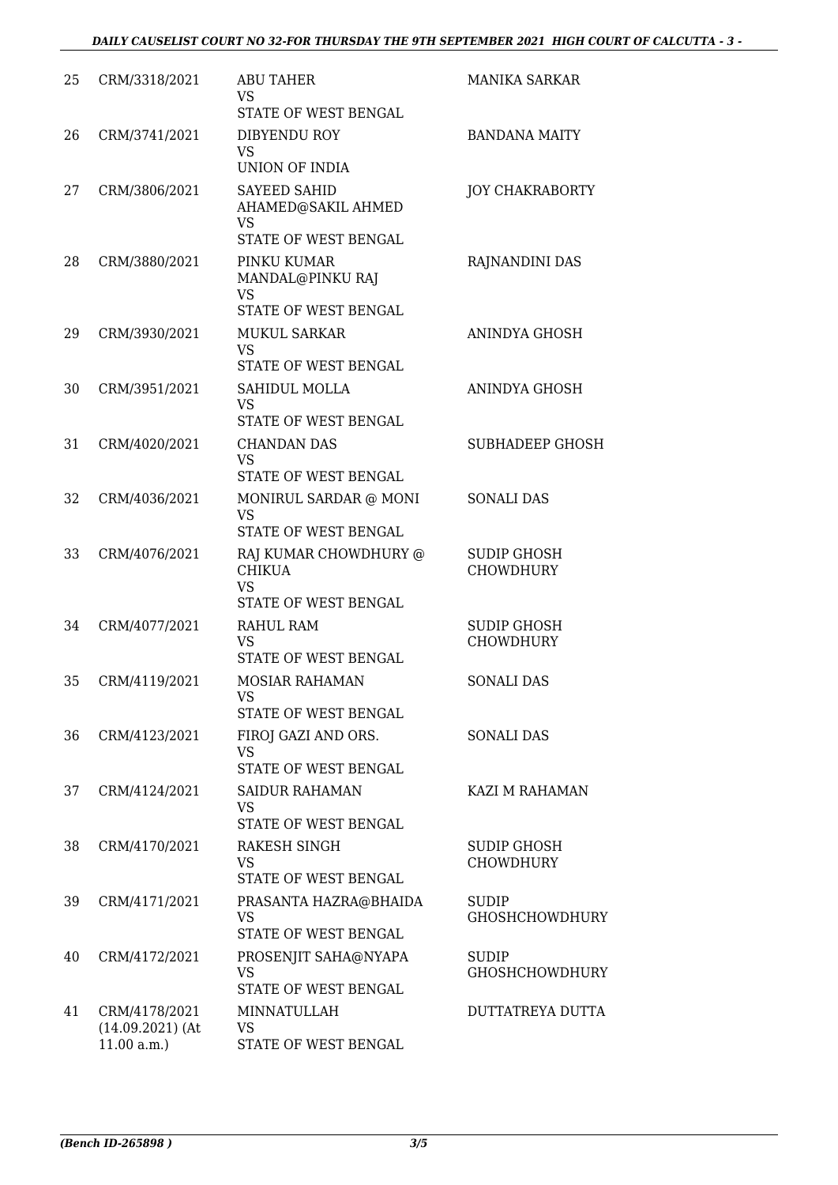| 25 | CRM/3318/2021                                     | <b>ABU TAHER</b><br>VS<br>STATE OF WEST BENGAL                                 | <b>MANIKA SARKAR</b>                   |
|----|---------------------------------------------------|--------------------------------------------------------------------------------|----------------------------------------|
| 26 | CRM/3741/2021                                     | DIBYENDU ROY<br><b>VS</b><br>UNION OF INDIA                                    | <b>BANDANA MAITY</b>                   |
| 27 | CRM/3806/2021                                     | <b>SAYEED SAHID</b><br>AHAMED@SAKIL AHMED<br><b>VS</b><br>STATE OF WEST BENGAL | JOY CHAKRABORTY                        |
| 28 | CRM/3880/2021                                     | PINKU KUMAR<br>MANDAL@PINKU RAJ<br><b>VS</b><br>STATE OF WEST BENGAL           | RAJNANDINI DAS                         |
| 29 | CRM/3930/2021                                     | <b>MUKUL SARKAR</b><br>VS.<br>STATE OF WEST BENGAL                             | ANINDYA GHOSH                          |
| 30 | CRM/3951/2021                                     | SAHIDUL MOLLA<br><b>VS</b><br>STATE OF WEST BENGAL                             | ANINDYA GHOSH                          |
| 31 | CRM/4020/2021                                     | <b>CHANDAN DAS</b><br><b>VS</b><br>STATE OF WEST BENGAL                        | <b>SUBHADEEP GHOSH</b>                 |
| 32 | CRM/4036/2021                                     | MONIRUL SARDAR @ MONI<br>VS<br>STATE OF WEST BENGAL                            | <b>SONALI DAS</b>                      |
| 33 | CRM/4076/2021                                     | RAJ KUMAR CHOWDHURY @<br><b>CHIKUA</b><br><b>VS</b><br>STATE OF WEST BENGAL    | <b>SUDIP GHOSH</b><br><b>CHOWDHURY</b> |
| 34 | CRM/4077/2021                                     | RAHUL RAM<br><b>VS</b><br>STATE OF WEST BENGAL                                 | <b>SUDIP GHOSH</b><br><b>CHOWDHURY</b> |
| 35 | CRM/4119/2021                                     | <b>MOSIAR RAHAMAN</b><br>VS.<br>STATE OF WEST BENGAL                           | <b>SONALI DAS</b>                      |
| 36 | CRM/4123/2021                                     | FIROJ GAZI AND ORS.<br>VS<br>STATE OF WEST BENGAL                              | <b>SONALI DAS</b>                      |
| 37 | CRM/4124/2021                                     | <b>SAIDUR RAHAMAN</b><br>VS.<br><b>STATE OF WEST BENGAL</b>                    | KAZI M RAHAMAN                         |
| 38 | CRM/4170/2021                                     | RAKESH SINGH<br>VS<br>STATE OF WEST BENGAL                                     | <b>SUDIP GHOSH</b><br><b>CHOWDHURY</b> |
| 39 | CRM/4171/2021                                     | PRASANTA HAZRA@BHAIDA<br>VS.<br>STATE OF WEST BENGAL                           | SUDIP<br><b>GHOSHCHOWDHURY</b>         |
| 40 | CRM/4172/2021                                     | PROSENJIT SAHA@NYAPA<br><b>VS</b><br>STATE OF WEST BENGAL                      | <b>SUDIP</b><br><b>GHOSHCHOWDHURY</b>  |
| 41 | CRM/4178/2021<br>$(14.09.2021)$ (At<br>11.00 a.m. | MINNATULLAH<br>VS.<br>STATE OF WEST BENGAL                                     | DUTTATREYA DUTTA                       |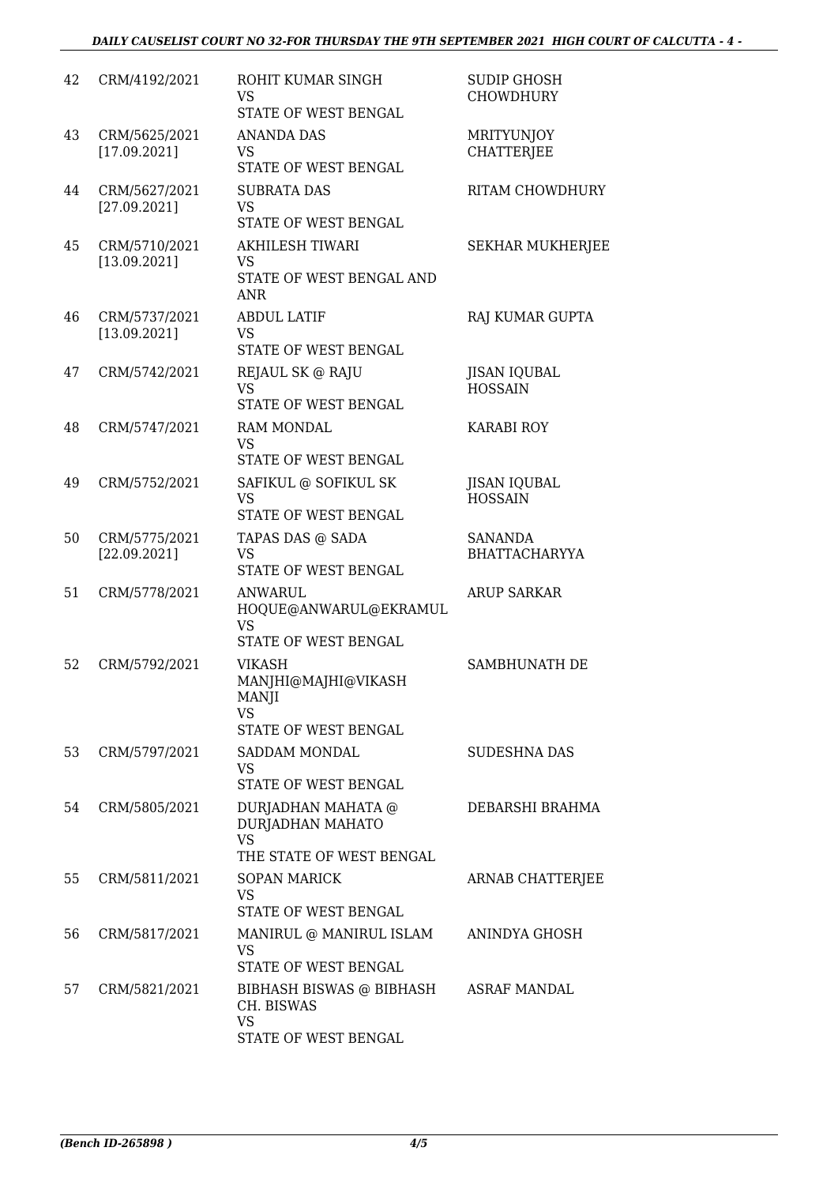#### *DAILY CAUSELIST COURT NO 32-FOR THURSDAY THE 9TH SEPTEMBER 2021 HIGH COURT OF CALCUTTA - 4 -*

| 42 | CRM/4192/2021                 | ROHIT KUMAR SINGH<br>VS.<br>STATE OF WEST BENGAL                                | <b>SUDIP GHOSH</b><br><b>CHOWDHURY</b> |
|----|-------------------------------|---------------------------------------------------------------------------------|----------------------------------------|
| 43 | CRM/5625/2021<br>[17.09.2021] | <b>ANANDA DAS</b><br>VS<br>STATE OF WEST BENGAL                                 | <b>MRITYUNJOY</b><br><b>CHATTERJEE</b> |
| 44 | CRM/5627/2021<br>[27.09.2021] | <b>SUBRATA DAS</b><br><b>VS</b><br>STATE OF WEST BENGAL                         | RITAM CHOWDHURY                        |
| 45 | CRM/5710/2021<br>[13.09.2021] | <b>AKHILESH TIWARI</b><br><b>VS</b><br>STATE OF WEST BENGAL AND<br><b>ANR</b>   | <b>SEKHAR MUKHERJEE</b>                |
| 46 | CRM/5737/2021<br>[13.09.2021] | <b>ABDUL LATIF</b><br>VS.<br>STATE OF WEST BENGAL                               | RAJ KUMAR GUPTA                        |
| 47 | CRM/5742/2021                 | REJAUL SK @ RAJU<br><b>VS</b><br>STATE OF WEST BENGAL                           | <b>JISAN IQUBAL</b><br><b>HOSSAIN</b>  |
| 48 | CRM/5747/2021                 | <b>RAM MONDAL</b><br><b>VS</b><br>STATE OF WEST BENGAL                          | <b>KARABI ROY</b>                      |
| 49 | CRM/5752/2021                 | SAFIKUL @ SOFIKUL SK<br><b>VS</b><br>STATE OF WEST BENGAL                       | <b>JISAN IQUBAL</b><br><b>HOSSAIN</b>  |
| 50 | CRM/5775/2021<br>[22.09.2021] | TAPAS DAS @ SADA<br><b>VS</b><br>STATE OF WEST BENGAL                           | SANANDA<br><b>BHATTACHARYYA</b>        |
| 51 | CRM/5778/2021                 | <b>ANWARUL</b><br>HOQUE@ANWARUL@EKRAMUL<br><b>VS</b><br>STATE OF WEST BENGAL    | <b>ARUP SARKAR</b>                     |
| 52 | CRM/5792/2021                 | <b>VIKASH</b><br>MANJHI@MAJHI@VIKASH<br>MANJI<br>VS<br>STATE OF WEST BENGAL     | SAMBHUNATH DE                          |
| 53 | CRM/5797/2021                 | SADDAM MONDAL<br>VS<br>STATE OF WEST BENGAL                                     | <b>SUDESHNA DAS</b>                    |
| 54 | CRM/5805/2021                 | DURJADHAN MAHATA @<br>DURJADHAN MAHATO<br><b>VS</b><br>THE STATE OF WEST BENGAL | DEBARSHI BRAHMA                        |
| 55 | CRM/5811/2021                 | <b>SOPAN MARICK</b><br>VS<br>STATE OF WEST BENGAL                               | ARNAB CHATTERJEE                       |
| 56 | CRM/5817/2021                 | MANIRUL @ MANIRUL ISLAM<br>VS<br>STATE OF WEST BENGAL                           | ANINDYA GHOSH                          |
| 57 | CRM/5821/2021                 | BIBHASH BISWAS @ BIBHASH<br>CH. BISWAS<br>VS<br>STATE OF WEST BENGAL            | ASRAF MANDAL                           |